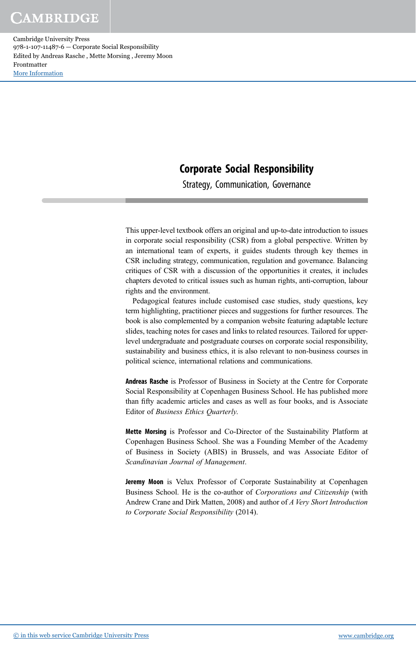#### Corporate Social Responsibility

Strategy, Communication, Governance

This upper-level textbook offers an original and up-to-date introduction to issues in corporate social responsibility (CSR) from a global perspective. Written by an international team of experts, it guides students through key themes in CSR including strategy, communication, regulation and governance. Balancing critiques of CSR with a discussion of the opportunities it creates, it includes chapters devoted to critical issues such as human rights, anti-corruption, labour rights and the environment.

Pedagogical features include customised case studies, study questions, key term highlighting, practitioner pieces and suggestions for further resources. The book is also complemented by a companion website featuring adaptable lecture slides, teaching notes for cases and links to related resources. Tailored for upperlevel undergraduate and postgraduate courses on corporate social responsibility, sustainability and business ethics, it is also relevant to non-business courses in political science, international relations and communications.

Andreas Rasche is Professor of Business in Society at the Centre for Corporate Social Responsibility at Copenhagen Business School. He has published more than fifty academic articles and cases as well as four books, and is Associate Editor of *Business Ethics Quarterly*.

Mette Morsing is Professor and Co-Director of the Sustainability Platform at Copenhagen Business School. She was a Founding Member of the Academy of Business in Society (ABIS) in Brussels, and was Associate Editor of *Scandinavian Journal of Management*.

Jeremy Moon is Velux Professor of Corporate Sustainability at Copenhagen Business School. He is the co-author of *Corporations and Citizenship* (with Andrew Crane and Dirk Matten, 2008) and author of *A Very Short Introduction to Corporate Social Responsibility* (2014).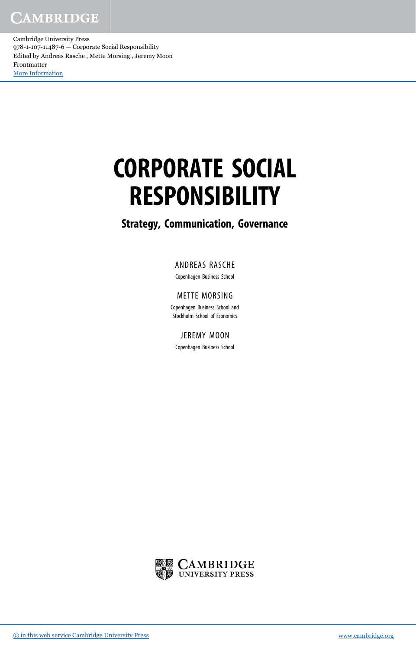Cambridge University Press 978-1-107-11487-6 — Corporate Social Responsibility Edited by Andreas Rasche , Mette Morsing , Jeremy Moon Frontmatter [More Information](www.cambridge.org/9781107114876)

# CORPORATE SOCIAL RESPONSIBILITY

#### Strategy, Communication, Governance

#### ANDREAS RASCHE

Copenhagen Business School

#### METTE MORSING

Copenhagen Business School and Stockholm School of Economics

JEREMY MOON

Copenhagen Business School

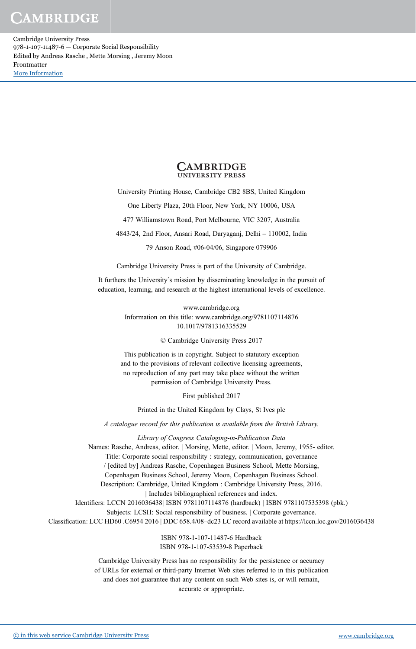Cambridge University Press 978-1-107-11487-6 — Corporate Social Responsibility Edited by Andreas Rasche , Mette Morsing , Jeremy Moon Frontmatter [More Information](www.cambridge.org/9781107114876)



University Printing House, Cambridge CB2 8BS, United Kingdom

One Liberty Plaza, 20th Floor, New York, NY 10006, USA

477 Williamstown Road, Port Melbourne, VIC 3207, Australia

4843/24, 2nd Floor, Ansari Road, Daryaganj, Delhi – 110002, India

79 Anson Road, #06-04/06, Singapore 079906

Cambridge University Press is part of the University of Cambridge.

It furthers the University's mission by disseminating knowledge in the pursuit of education, learning, and research at the highest international levels of excellence.

> www.cambridge.org Information on this title: www.cambridge.org/9781107114876 10.1017/9781316335529

> > © Cambridge University Press 2017

This publication is in copyright. Subject to statutory exception and to the provisions of relevant collective licensing agreements, no reproduction of any part may take place without the written permission of Cambridge University Press.

First published 2017

Printed in the United Kingdom by Clays, St Ives plc

A catalogue record for this publication is available from the British Library.

*Library of Congress Cataloging-in-Publication Data* Names: Rasche, Andreas, editor. | Morsing, Mette, editor. | Moon, Jeremy, 1955- editor. Title: Corporate social responsibility : strategy, communication, governance / [edited by] Andreas Rasche, Copenhagen Business School, Mette Morsing, Copenhagen Business School, Jeremy Moon, Copenhagen Business School. Description: Cambridge, United Kingdom : Cambridge University Press, 2016. | Includes bibliographical references and index. Identifiers: LCCN 2016036438| ISBN 9781107114876 (hardback) | ISBN 9781107535398 (pbk.) Subjects: LCSH: Social responsibility of business. | Corporate governance. Classification: LCC HD60 .C6954 2016 | DDC 658.4/08–dc23 LC record available at https://lccn.loc.gov/2016036438 ISBN 978-1-107-11487-6 Hardback

ISBN 978-1-107-53539-8 Paperback

Cambridge University Press has no responsibility for the persistence or accuracy of URLs for external or third-party Internet Web sites referred to in this publication and does not guarantee that any content on such Web sites is, or will remain, accurate or appropriate.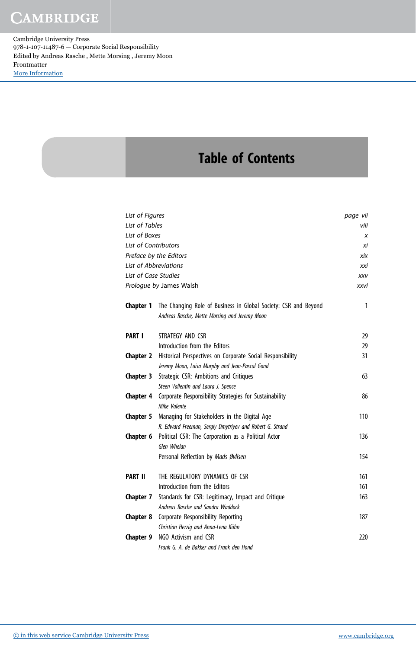Cambridge University Press 978-1-107-11487-6 — Corporate Social Responsibility Edited by Andreas Rasche , Mette Morsing , Jeremy Moon Frontmatter [More Information](www.cambridge.org/9781107114876)

## Table of Contents

| List of Figures              |                                                                                                                  | page vii |
|------------------------------|------------------------------------------------------------------------------------------------------------------|----------|
| List of Tables               |                                                                                                                  |          |
| List of Boxes                |                                                                                                                  | X        |
| <b>List of Contributors</b>  |                                                                                                                  | хi       |
|                              | Preface by the Editors                                                                                           | xix      |
| <b>List of Abbreviations</b> |                                                                                                                  | xxi      |
| <b>List of Case Studies</b>  |                                                                                                                  | XXV      |
|                              | Prologue by James Walsh                                                                                          | xxvi     |
| <b>Chapter 1</b>             | The Changing Role of Business in Global Society: CSR and Beyond<br>Andreas Rasche, Mette Morsing and Jeremy Moon | 1        |
| <b>PART I</b>                | STRATEGY AND CSR                                                                                                 | 29       |
|                              | Introduction from the Editors                                                                                    | 29       |
| <b>Chapter 2</b>             | Historical Perspectives on Corporate Social Responsibility                                                       | 31       |
|                              | Jeremy Moon, Luisa Murphy and Jean-Pascal Gond                                                                   |          |
| <b>Chapter 3</b>             | Strategic CSR: Ambitions and Critiques                                                                           | 63       |
|                              | Steen Vallentin and Laura J. Spence                                                                              |          |
| <b>Chapter 4</b>             | Corporate Responsibility Strategies for Sustainability<br>Mike Valente                                           | 86       |
| Chapter 5                    | Managing for Stakeholders in the Digital Age                                                                     | 110      |
|                              | R. Edward Freeman, Sergiy Dmytriyev and Robert G. Strand                                                         |          |
| Chapter 6                    | Political CSR: The Corporation as a Political Actor                                                              | 136      |
|                              | Glen Whelan                                                                                                      |          |
|                              | Personal Reflection by Mads Øvlisen                                                                              | 154      |
| <b>PART II</b>               | THE REGULATORY DYNAMICS OF CSR                                                                                   | 161      |
|                              | Introduction from the Editors                                                                                    | 161      |
| Chapter 7                    | Standards for CSR: Legitimacy, Impact and Critique                                                               | 163      |
|                              | Andreas Rasche and Sandra Waddock                                                                                |          |
| <b>Chapter 8</b>             | Corporate Responsibility Reporting                                                                               | 187      |
|                              | Christian Herzig and Anna-Lena Kühn                                                                              |          |
| Chapter 9                    | NGO Activism and CSR                                                                                             | 220      |
|                              | Frank G. A. de Bakker and Frank den Hond                                                                         |          |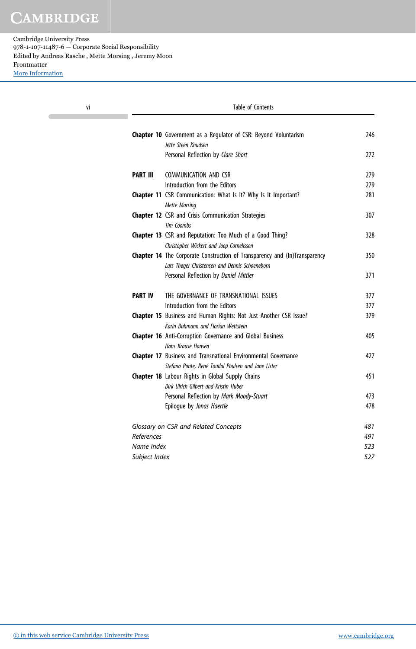| ٧i              | Table of Contents                                                          |     |  |
|-----------------|----------------------------------------------------------------------------|-----|--|
|                 | <b>Chapter 10</b> Government as a Regulator of CSR: Beyond Voluntarism     | 246 |  |
|                 | Jette Steen Knudsen                                                        |     |  |
|                 | Personal Reflection by Clare Short                                         | 272 |  |
| <b>PART III</b> | COMMUNICATION AND CSR                                                      | 279 |  |
|                 | Introduction from the Editors                                              | 279 |  |
|                 | Chapter 11 CSR Communication: What Is It? Why Is It Important?             | 281 |  |
|                 | <b>Mette Morsing</b>                                                       |     |  |
|                 | Chapter 12 CSR and Crisis Communication Strategies                         | 307 |  |
|                 | <b>Tim Coombs</b>                                                          |     |  |
|                 | <b>Chapter 13</b> CSR and Reputation: Too Much of a Good Thing?            | 328 |  |
|                 | Christopher Wickert and Joep Cornelissen                                   |     |  |
|                 | Chapter 14 The Corporate Construction of Transparency and (In)Transparency | 350 |  |
|                 | Lars Thøger Christensen and Dennis Schoeneborn                             |     |  |
|                 | Personal Reflection by Daniel Mittler                                      | 371 |  |
| <b>PART IV</b>  | THE GOVERNANCE OF TRANSNATIONAL ISSUES                                     | 377 |  |
|                 | Introduction from the Editors                                              | 377 |  |
|                 | Chapter 15 Business and Human Rights: Not Just Another CSR Issue?          | 379 |  |
|                 | Karin Buhmann and Florian Wettstein                                        |     |  |
|                 | Chapter 16 Anti-Corruption Governance and Global Business                  | 405 |  |
|                 | Hans Krause Hansen                                                         |     |  |
|                 | Chapter 17 Business and Transnational Environmental Governance             | 427 |  |
|                 | Stefano Ponte, René Toudal Poulsen and Jane Lister                         |     |  |
|                 | Chapter 18 Labour Rights in Global Supply Chains                           | 451 |  |
|                 | Dirk Ulrich Gilbert and Kristin Huber                                      |     |  |
|                 | Personal Reflection by Mark Moody-Stuart                                   | 473 |  |
|                 | Epilogue by Jonas Haertle                                                  | 478 |  |
|                 | Glossary on CSR and Related Concepts                                       | 481 |  |
| References      |                                                                            | 491 |  |
| Name Index      |                                                                            | 523 |  |
| Subject Index   |                                                                            | 527 |  |
|                 |                                                                            |     |  |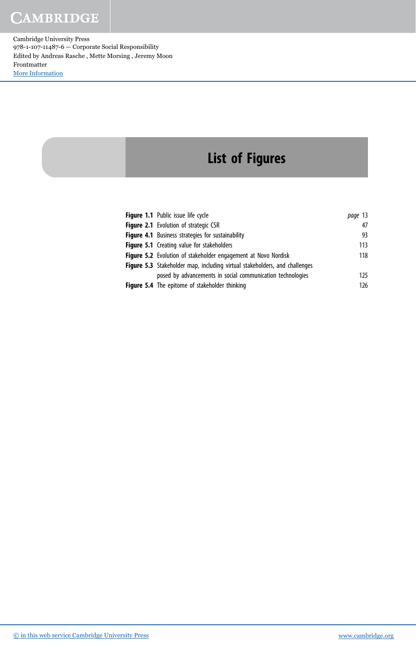Cambridge University Press 978-1-107-11487-6 — Corporate Social Responsibility Edited by Andreas Rasche , Mette Morsing , Jeremy Moon Frontmatter [More Information](www.cambridge.org/9781107114876)

# List of Figures

| Figure 1.1 Public issue life cycle                                         | page 13 |
|----------------------------------------------------------------------------|---------|
| <b>Figure 2.1</b> Evolution of strategic CSR                               | 47      |
| <b>Figure 4.1</b> Business strategies for sustainability                   | 93      |
| <b>Figure 5.1</b> Creating value for stakeholders                          | 113     |
| <b>Figure 5.2</b> Evolution of stakeholder engagement at Novo Nordisk      | 118     |
| Figure 5.3 Stakeholder map, including virtual stakeholders, and challenges |         |
| posed by advancements in social communication technologies                 | 125     |
| <b>Figure 5.4</b> The epitome of stakeholder thinking                      | 126     |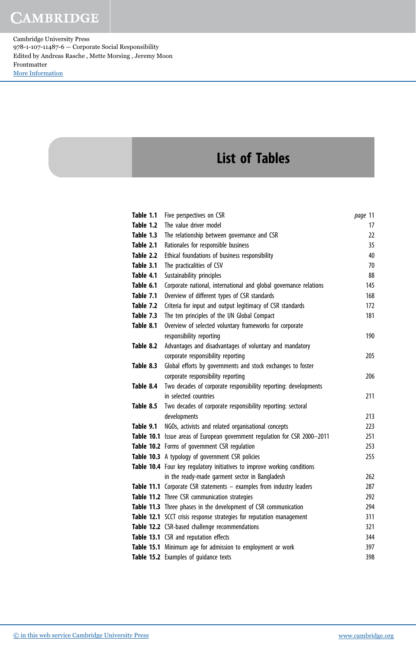Cambridge University Press 978-1-107-11487-6 — Corporate Social Responsibility Edited by Andreas Rasche , Mette Morsing , Jeremy Moon Frontmatter [More Information](www.cambridge.org/9781107114876)

## List of Tables

| Table 1.1 | Five perspectives on CSR                                                   | page 11 |
|-----------|----------------------------------------------------------------------------|---------|
| Table 1.2 | The value driver model                                                     | 17      |
| Table 1.3 | The relationship between governance and CSR                                | 22      |
| Table 2.1 | Rationales for responsible business                                        | 35      |
| Table 2.2 | Ethical foundations of business responsibility                             | 40      |
| Table 3.1 | The practicalities of CSV                                                  | 70      |
| Table 4.1 | Sustainability principles                                                  | 88      |
| Table 6.1 | Corporate national, international and global governance relations          | 145     |
| Table 7.1 | Overview of different types of CSR standards                               | 168     |
| Table 7.2 | Criteria for input and output legitimacy of CSR standards                  | 172     |
| Table 7.3 | The ten principles of the UN Global Compact                                | 181     |
| Table 8.1 | Overview of selected voluntary frameworks for corporate                    |         |
|           | responsibility reporting                                                   | 190     |
| Table 8.2 | Advantages and disadvantages of voluntary and mandatory                    |         |
|           | corporate responsibility reporting                                         | 205     |
| Table 8.3 | Global efforts by governments and stock exchanges to foster                |         |
|           | corporate responsibility reporting                                         | 206     |
| Table 8.4 | Two decades of corporate responsibility reporting: developments            |         |
|           | in selected countries                                                      | 211     |
| Table 8.5 | Two decades of corporate responsibility reporting: sectoral                |         |
|           | developments                                                               | 213     |
| Table 9.1 | NGOs, activists and related organisational concepts                        | 223     |
|           | Table 10.1 Issue areas of European government regulation for CSR 2000-2011 | 251     |
|           | Table 10.2 Forms of government CSR regulation                              | 253     |
|           | Table 10.3 A typology of government CSR policies                           | 255     |
|           | Table 10.4 Four key regulatory initiatives to improve working conditions   |         |
|           | in the ready-made garment sector in Bangladesh                             | 262     |
|           | Table 11.1 Corporate CSR statements - examples from industry leaders       | 287     |
|           | Table 11.2 Three CSR communication strategies                              | 292     |
|           | Table 11.3 Three phases in the development of CSR communication            | 294     |
|           | Table 12.1 SCCT crisis response strategies for reputation management       | 311     |
|           | Table 12.2 CSR-based challenge recommendations                             | 321     |
|           | Table 13.1 CSR and reputation effects                                      | 344     |
|           | Table 15.1 Minimum age for admission to employment or work                 | 397     |
|           | Table 15.2 Examples of quidance texts                                      | 398     |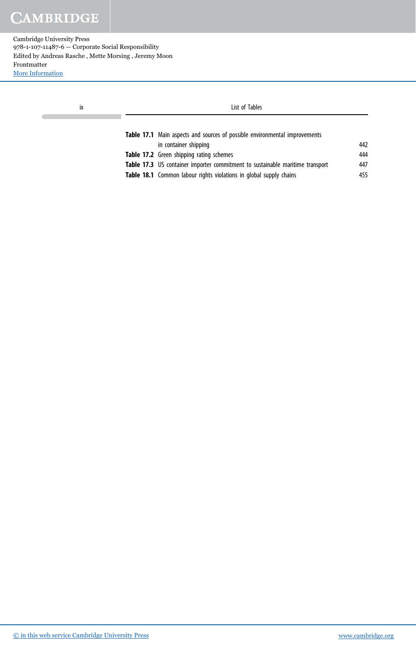Cambridge University Press 978-1-107-11487-6 — Corporate Social Responsibility Edited by Andreas Rasche , Mette Morsing , Jeremy Moon Frontmatter [More Information](www.cambridge.org/9781107114876)

| İХ | List of Tables                                                                |     |
|----|-------------------------------------------------------------------------------|-----|
|    | Table 17.1 Main aspects and sources of possible environmental improvements    |     |
|    | in container shipping                                                         | 442 |
|    | Table 17.2 Green shipping rating schemes                                      | 444 |
|    | Table 17.3 US container importer commitment to sustainable maritime transport | 447 |

Table 18.1 Common labour rights violations in global supply chains 455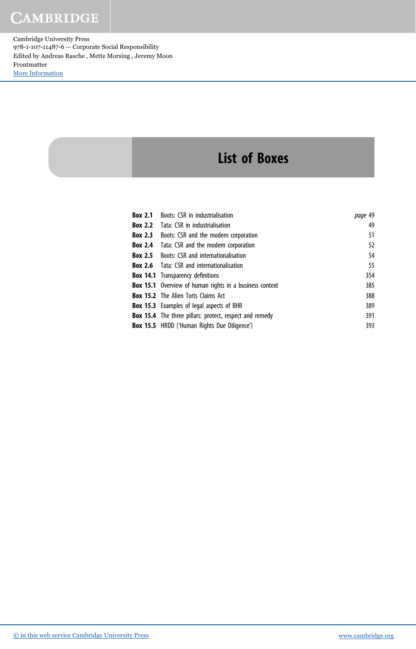Cambridge University Press 978-1-107-11487-6 — Corporate Social Responsibility Edited by Andreas Rasche , Mette Morsing , Jeremy Moon Frontmatter [More Information](www.cambridge.org/9781107114876)

## List of Boxes

| Box 2.1 | Boots: CSR in industrialisation                                | page 49 |
|---------|----------------------------------------------------------------|---------|
| Box 2.2 | Tata: CSR in industrialisation                                 | 49      |
| Box 2.3 | Boots: CSR and the modern corporation                          | 51      |
| Box 2.4 | Tata: CSR and the modern corporation                           | 52      |
|         | <b>Box 2.5</b> Boots: CSR and internationalisation             | 54      |
|         | <b>Box 2.6</b> Tata: CSR and internationalisation              | 55      |
|         | <b>Box 14.1</b> Transparency definitions                       | 354     |
|         | <b>Box 15.1</b> Overview of human rights in a business context | 385     |
|         | <b>Box 15.2</b> The Alien Torts Claims Act                     | 388     |
|         | <b>Box 15.3</b> Examples of legal aspects of BHR               | 389     |
|         | <b>Box 15.4</b> The three pillars: protect, respect and remedy | 391     |
|         | <b>Box 15.5</b> HRDD ('Human Rights Due Diligence')            | 393     |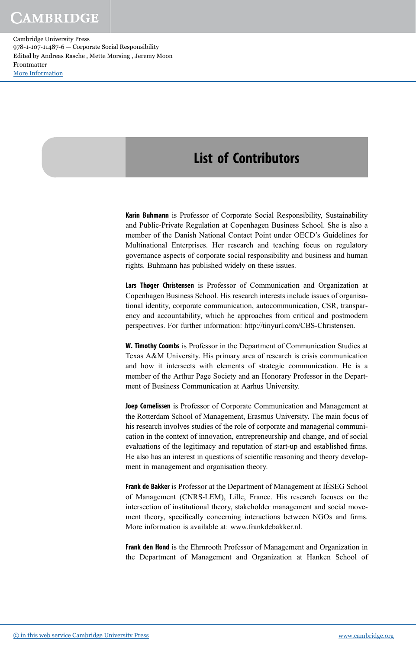## List of Contributors

Karin Buhmann is Professor of Corporate Social Responsibility, Sustainability and Public-Private Regulation at Copenhagen Business School. She is also a member of the Danish National Contact Point under OECD's Guidelines for Multinational Enterprises. Her research and teaching focus on regulatory governance aspects of corporate social responsibility and business and human rights. Buhmann has published widely on these issues.

Lars Thøger Christensen is Professor of Communication and Organization at Copenhagen Business School. His research interests include issues of organisational identity, corporate communication, autocommunication, CSR, transparency and accountability, which he approaches from critical and postmodern perspectives. For further information: http://tinyurl.com/CBS-Christensen.

W. Timothy Coombs is Professor in the Department of Communication Studies at Texas A&M University. His primary area of research is crisis communication and how it intersects with elements of strategic communication. He is a member of the Arthur Page Society and an Honorary Professor in the Department of Business Communication at Aarhus University.

Joep Cornelissen is Professor of Corporate Communication and Management at the Rotterdam School of Management, Erasmus University. The main focus of his research involves studies of the role of corporate and managerial communication in the context of innovation, entrepreneurship and change, and of social evaluations of the legitimacy and reputation of start-up and established firms. He also has an interest in questions of scientific reasoning and theory development in management and organisation theory.

Frank de Bakker is Professor at the Department of Management at IÉSEG School of Management (CNRS-LEM), Lille, France. His research focuses on the intersection of institutional theory, stakeholder management and social movement theory, specifically concerning interactions between NGOs and firms. More information is available at: www.frankdebakker.nl.

Frank den Hond is the Ehrnrooth Professor of Management and Organization in the Department of Management and Organization at Hanken School of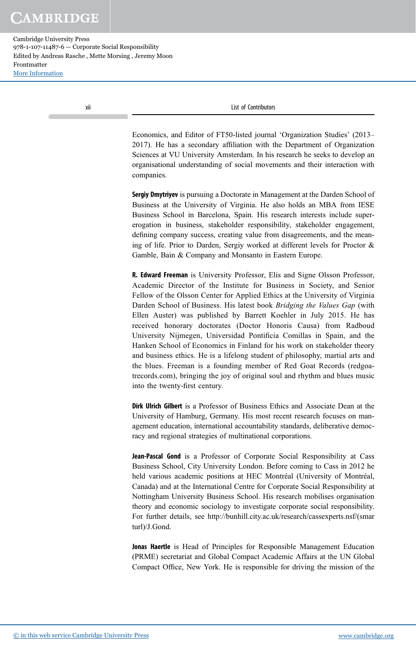Cambridge University Press 978-1-107-11487-6 — Corporate Social Responsibility Edited by Andreas Rasche , Mette Morsing , Jeremy Moon Frontmatter [More Information](www.cambridge.org/9781107114876)

xii List of Contributors

Economics, and Editor of FT50-listed journal 'Organization Studies' (2013– 2017). He has a secondary affiliation with the Department of Organization Sciences at VU University Amsterdam. In his research he seeks to develop an organisational understanding of social movements and their interaction with companies.

Sergiy Dmytriyev is pursuing a Doctorate in Management at the Darden School of Business at the University of Virginia. He also holds an MBA from IESE Business School in Barcelona, Spain. His research interests include supererogation in business, stakeholder responsibility, stakeholder engagement, defining company success, creating value from disagreements, and the meaning of life. Prior to Darden, Sergiy worked at different levels for Proctor & Gamble, Bain & Company and Monsanto in Eastern Europe.

R. Edward Freeman is University Professor, Elis and Signe Olsson Professor, Academic Director of the Institute for Business in Society, and Senior Fellow of the Olsson Center for Applied Ethics at the University of Virginia Darden School of Business. His latest book *Bridging the Values Gap* (with Ellen Auster) was published by Barrett Koehler in July 2015. He has received honorary doctorates (Doctor Honoris Causa) from Radboud University Nijmegen, Universidad Pontificia Comillas in Spain, and the Hanken School of Economics in Finland for his work on stakeholder theory and business ethics. He is a lifelong student of philosophy, martial arts and the blues. Freeman is a founding member of Red Goat Records (redgoatrecords.com), bringing the joy of original soul and rhythm and blues music into the twenty-first century.

Dirk Ulrich Gilbert is a Professor of Business Ethics and Associate Dean at the University of Hamburg, Germany. His most recent research focuses on management education, international accountability standards, deliberative democracy and regional strategies of multinational corporations.

Jean-Pascal Gond is a Professor of Corporate Social Responsibility at Cass Business School, City University London. Before coming to Cass in 2012 he held various academic positions at HEC Montréal (University of Montréal, Canada) and at the International Centre for Corporate Social Responsibility at Nottingham University Business School. His research mobilises organisation theory and economic sociology to investigate corporate social responsibility. For further details, see http://bunhill.city.ac.uk/research/cassexperts.nsf/(smar turl)/J.Gond.

Jonas Haertle is Head of Principles for Responsible Management Education (PRME) secretariat and Global Compact Academic Affairs at the UN Global Compact Office, New York. He is responsible for driving the mission of the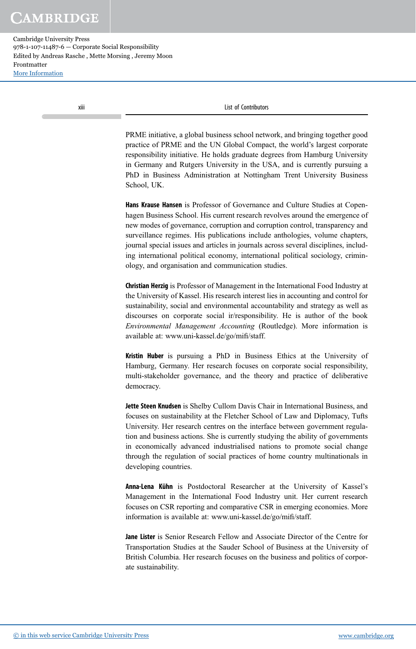Cambridge University Press 978-1-107-11487-6 — Corporate Social Responsibility Edited by Andreas Rasche , Mette Morsing , Jeremy Moon Frontmatter [More Information](www.cambridge.org/9781107114876)

xiii List of Contributors

PRME initiative, a global business school network, and bringing together good practice of PRME and the UN Global Compact, the world's largest corporate responsibility initiative. He holds graduate degrees from Hamburg University in Germany and Rutgers University in the USA, and is currently pursuing a PhD in Business Administration at Nottingham Trent University Business School, UK.

Hans Krause Hansen is Professor of Governance and Culture Studies at Copenhagen Business School. His current research revolves around the emergence of new modes of governance, corruption and corruption control, transparency and surveillance regimes. His publications include anthologies, volume chapters, journal special issues and articles in journals across several disciplines, including international political economy, international political sociology, criminology, and organisation and communication studies.

Christian Herzig is Professor of Management in the International Food Industry at the University of Kassel. His research interest lies in accounting and control for sustainability, social and environmental accountability and strategy as well as discourses on corporate social ir/responsibility. He is author of the book *Environmental Management Accounting* (Routledge). More information is available at: www.uni-kassel.de/go/mifi/staff.

Kristin Huber is pursuing a PhD in Business Ethics at the University of Hamburg, Germany. Her research focuses on corporate social responsibility, multi-stakeholder governance, and the theory and practice of deliberative democracy.

Jette Steen Knudsen is Shelby Cullom Davis Chair in International Business, and focuses on sustainability at the Fletcher School of Law and Diplomacy, Tufts University. Her research centres on the interface between government regulation and business actions. She is currently studying the ability of governments in economically advanced industrialised nations to promote social change through the regulation of social practices of home country multinationals in developing countries.

Anna-Lena Kühn is Postdoctoral Researcher at the University of Kassel's Management in the International Food Industry unit. Her current research focuses on CSR reporting and comparative CSR in emerging economies. More information is available at: www.uni-kassel.de/go/mifi/staff.

Jane Lister is Senior Research Fellow and Associate Director of the Centre for Transportation Studies at the Sauder School of Business at the University of British Columbia. Her research focuses on the business and politics of corporate sustainability.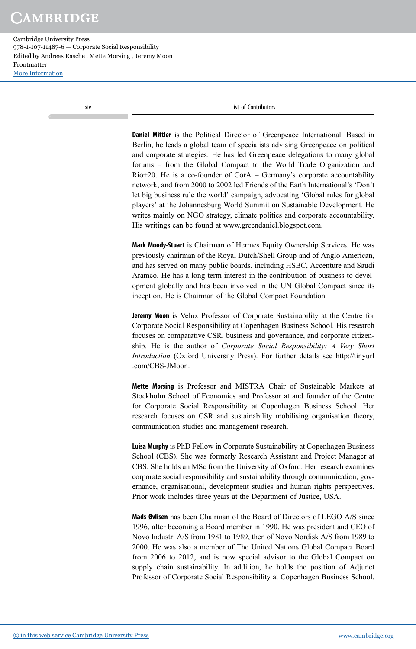Cambridge University Press 978-1-107-11487-6 — Corporate Social Responsibility Edited by Andreas Rasche , Mette Morsing , Jeremy Moon Frontmatter [More Information](www.cambridge.org/9781107114876)

xiv List of Contributors

Daniel Mittler is the Political Director of Greenpeace International. Based in Berlin, he leads a global team of specialists advising Greenpeace on political and corporate strategies. He has led Greenpeace delegations to many global forums – from the Global Compact to the World Trade Organization and Rio+20. He is a co-founder of CorA – Germany's corporate accountability network, and from 2000 to 2002 led Friends of the Earth International's 'Don't let big business rule the world' campaign, advocating 'Global rules for global players' at the Johannesburg World Summit on Sustainable Development. He writes mainly on NGO strategy, climate politics and corporate accountability. His writings can be found at www.greendaniel.blogspot.com.

Mark Moody-Stuart is Chairman of Hermes Equity Ownership Services. He was previously chairman of the Royal Dutch/Shell Group and of Anglo American, and has served on many public boards, including HSBC, Accenture and Saudi Aramco. He has a long-term interest in the contribution of business to development globally and has been involved in the UN Global Compact since its inception. He is Chairman of the Global Compact Foundation.

Jeremy Moon is Velux Professor of Corporate Sustainability at the Centre for Corporate Social Responsibility at Copenhagen Business School. His research focuses on comparative CSR, business and governance, and corporate citizenship. He is the author of *Corporate Social Responsibility: A Very Short Introduction* (Oxford University Press). For further details see http://tinyurl .com/CBS-JMoon.

Mette Morsing is Professor and MISTRA Chair of Sustainable Markets at Stockholm School of Economics and Professor at and founder of the Centre for Corporate Social Responsibility at Copenhagen Business School. Her research focuses on CSR and sustainability mobilising organisation theory, communication studies and management research.

Luisa Murphy is PhD Fellow in Corporate Sustainability at Copenhagen Business School (CBS). She was formerly Research Assistant and Project Manager at CBS. She holds an MSc from the University of Oxford. Her research examines corporate social responsibility and sustainability through communication, governance, organisational, development studies and human rights perspectives. Prior work includes three years at the Department of Justice, USA.

Mads Øvlisen has been Chairman of the Board of Directors of LEGO A/S since 1996, after becoming a Board member in 1990. He was president and CEO of Novo Industri A/S from 1981 to 1989, then of Novo Nordisk A/S from 1989 to 2000. He was also a member of The United Nations Global Compact Board from 2006 to 2012, and is now special advisor to the Global Compact on supply chain sustainability. In addition, he holds the position of Adjunct Professor of Corporate Social Responsibility at Copenhagen Business School.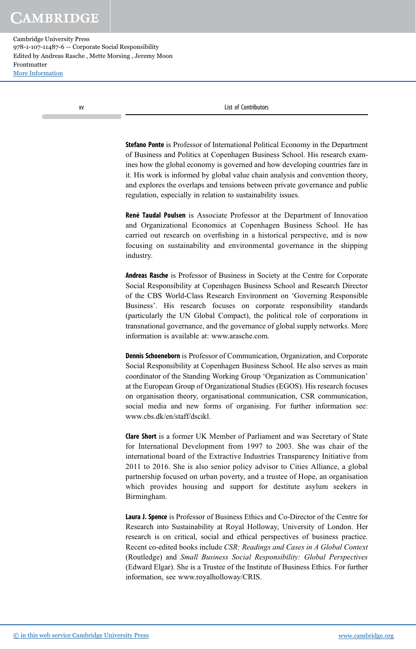xv List of Contributors

Stefano Ponte is Professor of International Political Economy in the Department of Business and Politics at Copenhagen Business School. His research examines how the global economy is governed and how developing countries fare in it. His work is informed by global value chain analysis and convention theory, and explores the overlaps and tensions between private governance and public regulation, especially in relation to sustainability issues.

René Taudal Poulsen is Associate Professor at the Department of Innovation and Organizational Economics at Copenhagen Business School. He has carried out research on overfishing in a historical perspective, and is now focusing on sustainability and environmental governance in the shipping industry.

Andreas Rasche is Professor of Business in Society at the Centre for Corporate Social Responsibility at Copenhagen Business School and Research Director of the CBS World-Class Research Environment on 'Governing Responsible Business'. His research focuses on corporate responsibility standards (particularly the UN Global Compact), the political role of corporations in transnational governance, and the governance of global supply networks. More information is available at: www.arasche.com.

Dennis Schoeneborn is Professor of Communication, Organization, and Corporate Social Responsibility at Copenhagen Business School. He also serves as main coordinator of the Standing Working Group 'Organization as Communication' at the European Group of Organizational Studies (EGOS). His research focuses on organisation theory, organisational communication, CSR communication, social media and new forms of organising. For further information see: www.cbs.dk/en/staff/dscikl.

Clare Short is a former UK Member of Parliament and was Secretary of State for International Development from 1997 to 2003. She was chair of the international board of the Extractive Industries Transparency Initiative from 2011 to 2016. She is also senior policy advisor to Cities Alliance, a global partnership focused on urban poverty, and a trustee of Hope, an organisation which provides housing and support for destitute asylum seekers in Birmingham.

Laura J. Spence is Professor of Business Ethics and Co-Director of the Centre for Research into Sustainability at Royal Holloway, University of London. Her research is on critical, social and ethical perspectives of business practice. Recent co-edited books include *CSR: Readings and Cases in A Global Context* (Routledge) and *Small Business Social Responsibility: Global Perspectives* (Edward Elgar). She is a Trustee of the Institute of Business Ethics. For further information, see www.royalholloway/CRIS.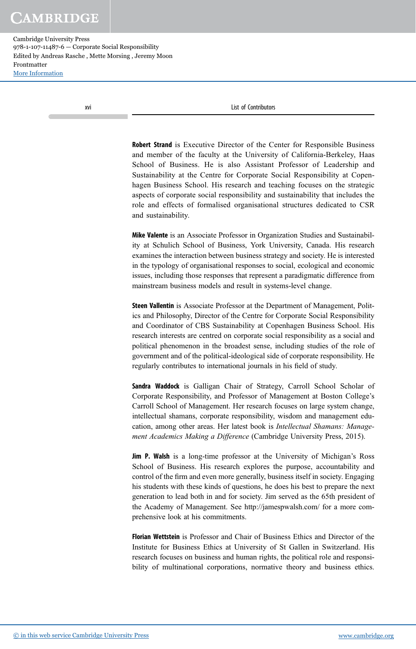xvi List of Contributors

Robert Strand is Executive Director of the Center for Responsible Business and member of the faculty at the University of California-Berkeley, Haas School of Business. He is also Assistant Professor of Leadership and Sustainability at the Centre for Corporate Social Responsibility at Copenhagen Business School. His research and teaching focuses on the strategic aspects of corporate social responsibility and sustainability that includes the role and effects of formalised organisational structures dedicated to CSR and sustainability.

Mike Valente is an Associate Professor in Organization Studies and Sustainability at Schulich School of Business, York University, Canada. His research examines the interaction between business strategy and society. He is interested in the typology of organisational responses to social, ecological and economic issues, including those responses that represent a paradigmatic difference from mainstream business models and result in systems-level change.

Steen Vallentin is Associate Professor at the Department of Management, Politics and Philosophy, Director of the Centre for Corporate Social Responsibility and Coordinator of CBS Sustainability at Copenhagen Business School. His research interests are centred on corporate social responsibility as a social and political phenomenon in the broadest sense, including studies of the role of government and of the political-ideological side of corporate responsibility. He regularly contributes to international journals in his field of study.

Sandra Waddock is Galligan Chair of Strategy, Carroll School Scholar of Corporate Responsibility, and Professor of Management at Boston College's Carroll School of Management. Her research focuses on large system change, intellectual shamans, corporate responsibility, wisdom and management education, among other areas. Her latest book is *Intellectual Shamans: Management Academics Making a Difference* (Cambridge University Press, 2015).

Jim P. Walsh is a long-time professor at the University of Michigan's Ross School of Business. His research explores the purpose, accountability and control of the firm and even more generally, business itself in society. Engaging his students with these kinds of questions, he does his best to prepare the next generation to lead both in and for society. Jim served as the 65th president of the Academy of Management. See http://jamespwalsh.com/ for a more comprehensive look at his commitments.

Florian Wettstein is Professor and Chair of Business Ethics and Director of the Institute for Business Ethics at University of St Gallen in Switzerland. His research focuses on business and human rights, the political role and responsibility of multinational corporations, normative theory and business ethics.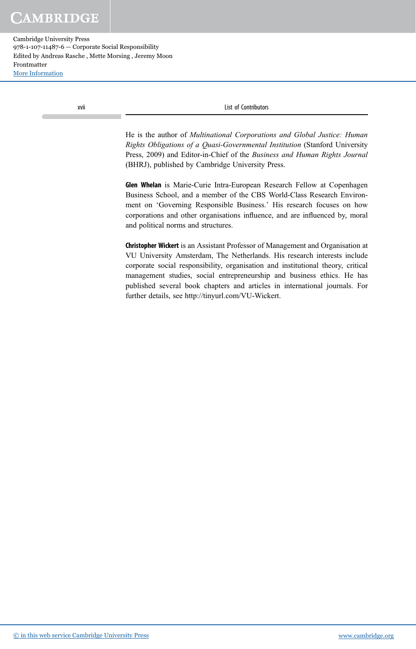Cambridge University Press 978-1-107-11487-6 — Corporate Social Responsibility Edited by Andreas Rasche , Mette Morsing , Jeremy Moon Frontmatter [More Information](www.cambridge.org/9781107114876)

xvii List of Contributors

He is the author of *Multinational Corporations and Global Justice: Human Rights Obligations of a Quasi-Governmental Institution* (Stanford University Press, 2009) and Editor-in-Chief of the *Business and Human Rights Journal* (BHRJ), published by Cambridge University Press.

Glen Whelan is Marie-Curie Intra-European Research Fellow at Copenhagen Business School, and a member of the CBS World-Class Research Environment on 'Governing Responsible Business.' His research focuses on how corporations and other organisations influence, and are influenced by, moral and political norms and structures.

Christopher Wickert is an Assistant Professor of Management and Organisation at VU University Amsterdam, The Netherlands. His research interests include corporate social responsibility, organisation and institutional theory, critical management studies, social entrepreneurship and business ethics. He has published several book chapters and articles in international journals. For further details, see http://tinyurl.com/VU-Wickert.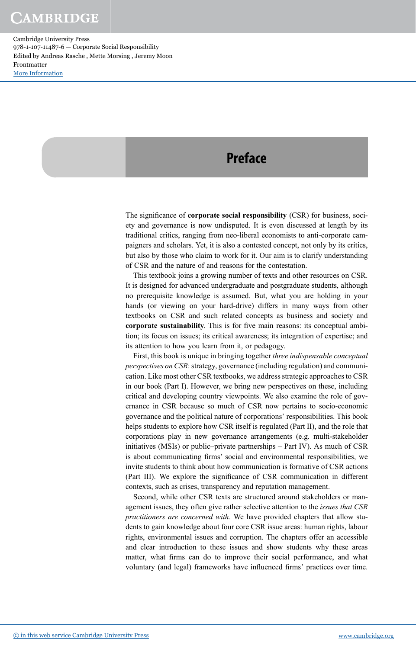### **Preface**

The significance of corporate social responsibility (CSR) for business, society and governance is now undisputed. It is even discussed at length by its traditional critics, ranging from neo-liberal economists to anti-corporate campaigners and scholars. Yet, it is also a contested concept, not only by its critics, but also by those who claim to work for it. Our aim is to clarify understanding of CSR and the nature of and reasons for the contestation.

This textbook joins a growing number of texts and other resources on CSR. It is designed for advanced undergraduate and postgraduate students, although no prerequisite knowledge is assumed. But, what you are holding in your hands (or viewing on your hard-drive) differs in many ways from other textbooks on CSR and such related concepts as business and society and corporate sustainability. This is for five main reasons: its conceptual ambition; its focus on issues; its critical awareness; its integration of expertise; and its attention to how you learn from it, or pedagogy.

First, this book is unique in bringing together *three indispensable conceptual perspectives on CSR*: strategy, governance (including regulation) and communication. Like most other CSR textbooks, we address strategic approaches to CSR in our book (Part I). However, we bring new perspectives on these, including critical and developing country viewpoints. We also examine the role of governance in CSR because so much of CSR now pertains to socio-economic governance and the political nature of corporations' responsibilities. This book helps students to explore how CSR itself is regulated (Part II), and the role that corporations play in new governance arrangements (e.g. multi-stakeholder initiatives (MSIs) or public–private partnerships – Part IV). As much of CSR is about communicating firms' social and environmental responsibilities, we invite students to think about how communication is formative of CSR actions (Part III). We explore the significance of CSR communication in different contexts, such as crises, transparency and reputation management.

Second, while other CSR texts are structured around stakeholders or management issues, they often give rather selective attention to the *issues that CSR practitioners are concerned with*. We have provided chapters that allow students to gain knowledge about four core CSR issue areas: human rights, labour rights, environmental issues and corruption. The chapters offer an accessible and clear introduction to these issues and show students why these areas matter, what firms can do to improve their social performance, and what voluntary (and legal) frameworks have influenced firms' practices over time.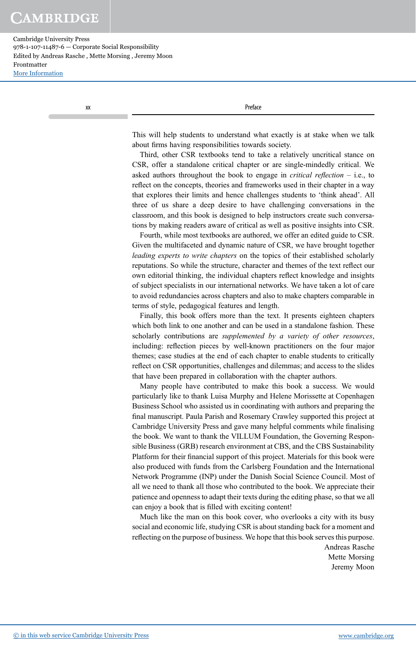Cambridge University Press 978-1-107-11487-6 — Corporate Social Responsibility Edited by Andreas Rasche , Mette Morsing , Jeremy Moon Frontmatter [More Information](www.cambridge.org/9781107114876)

xx Preface

This will help students to understand what exactly is at stake when we talk about firms having responsibilities towards society.

Third, other CSR textbooks tend to take a relatively uncritical stance on CSR, offer a standalone critical chapter or are single-mindedly critical. We asked authors throughout the book to engage in *critical re*fl*ection* – i.e., to reflect on the concepts, theories and frameworks used in their chapter in a way that explores their limits and hence challenges students to 'think ahead'. All three of us share a deep desire to have challenging conversations in the classroom, and this book is designed to help instructors create such conversations by making readers aware of critical as well as positive insights into CSR.

Fourth, while most textbooks are authored, we offer an edited guide to CSR. Given the multifaceted and dynamic nature of CSR, we have brought together *leading experts to write chapters* on the topics of their established scholarly reputations. So while the structure, character and themes of the text reflect our own editorial thinking, the individual chapters reflect knowledge and insights of subject specialists in our international networks. We have taken a lot of care to avoid redundancies across chapters and also to make chapters comparable in terms of style, pedagogical features and length.

Finally, this book offers more than the text. It presents eighteen chapters which both link to one another and can be used in a standalone fashion. These scholarly contributions are *supplemented by a variety of other resources*, including: reflection pieces by well-known practitioners on the four major themes; case studies at the end of each chapter to enable students to critically reflect on CSR opportunities, challenges and dilemmas; and access to the slides that have been prepared in collaboration with the chapter authors.

Many people have contributed to make this book a success. We would particularly like to thank Luisa Murphy and Helene Morissette at Copenhagen Business School who assisted us in coordinating with authors and preparing the final manuscript. Paula Parish and Rosemary Crawley supported this project at Cambridge University Press and gave many helpful comments while finalising the book. We want to thank the VILLUM Foundation, the Governing Responsible Business (GRB) research environment at CBS, and the CBS Sustainability Platform for their financial support of this project. Materials for this book were also produced with funds from the Carlsberg Foundation and the International Network Programme (INP) under the Danish Social Science Council. Most of all we need to thank all those who contributed to the book. We appreciate their patience and openness to adapt their texts during the editing phase, so that we all can enjoy a book that is filled with exciting content!

Much like the man on this book cover, who overlooks a city with its busy social and economic life, studying CSR is about standing back for a moment and reflecting on the purpose of business. We hope that this book serves this purpose.

> Andreas Rasche Mette Morsing Jeremy Moon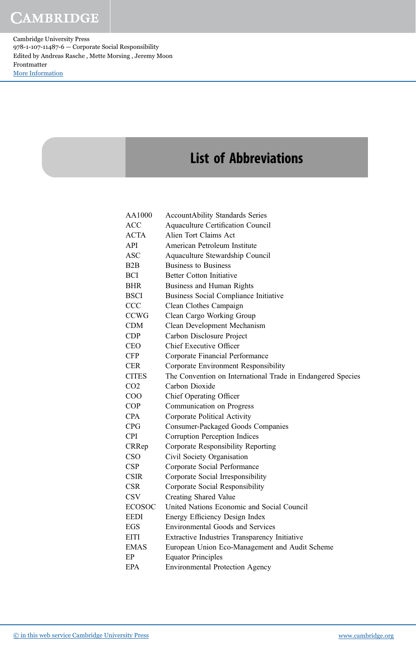# List of Abbreviations

| AA1000                  | <b>AccountAbility Standards Series</b>                      |
|-------------------------|-------------------------------------------------------------|
| ACC                     | Aquaculture Certification Council                           |
| ACTA                    | Alien Tort Claims Act                                       |
| API                     | American Petroleum Institute                                |
| ASC                     | Aquaculture Stewardship Council                             |
| B2B                     | <b>Business to Business</b>                                 |
| BCI                     | <b>Better Cotton Initiative</b>                             |
| <b>BHR</b>              | Business and Human Rights                                   |
| BSCI                    | Business Social Compliance Initiative                       |
| $\rm{CCC}$              | Clean Clothes Campaign                                      |
| CCWG                    | Clean Cargo Working Group                                   |
| CDM                     | Clean Development Mechanism                                 |
| $\mathop{\mathrm{CDP}}$ | Carbon Disclosure Project                                   |
| CEO                     | Chief Executive Officer                                     |
| CFP                     | Corporate Financial Performance                             |
| CER                     | Corporate Environment Responsibility                        |
| <b>CITES</b>            | The Convention on International Trade in Endangered Species |
| CO <sub>2</sub>         | Carbon Dioxide                                              |
| $_{\rm COO}$            | Chief Operating Officer                                     |
| COP                     | Communication on Progress                                   |
| <b>CPA</b>              | Corporate Political Activity                                |
| $\rm{CPG}$              | <b>Consumer-Packaged Goods Companies</b>                    |
| <b>CPI</b>              | Corruption Perception Indices                               |
| CRRep                   | Corporate Responsibility Reporting                          |
| <b>CSO</b>              | Civil Society Organisation                                  |
| <b>CSP</b>              | Corporate Social Performance                                |
| <b>CSIR</b>             | Corporate Social Irresponsibility                           |
| CSR                     | Corporate Social Responsibility                             |
| $_{\rm CSV}$            | <b>Creating Shared Value</b>                                |
| ECOSOC                  | United Nations Economic and Social Council                  |
| EEDI                    | Energy Efficiency Design Index                              |
| EGS                     | <b>Environmental Goods and Services</b>                     |
| EITI                    | Extractive Industries Transparency Initiative               |
| <b>EMAS</b>             | European Union Eco-Management and Audit Scheme              |
| EР                      | <b>Equator Principles</b>                                   |
| EPA                     | <b>Environmental Protection Agency</b>                      |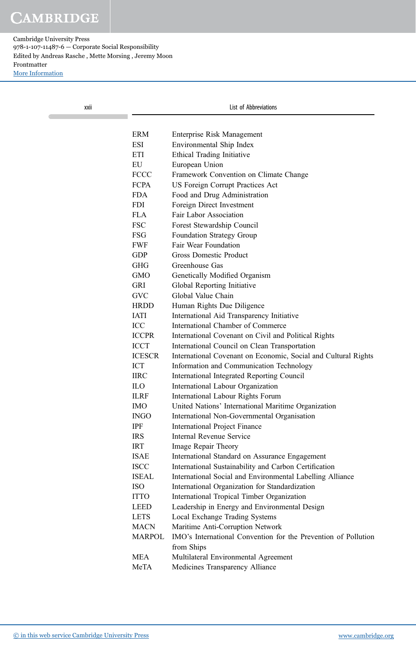| xxii |               | List of Abbreviations                                                        |  |
|------|---------------|------------------------------------------------------------------------------|--|
|      | <b>ERM</b>    | Enterprise Risk Management                                                   |  |
|      | <b>ESI</b>    | Environmental Ship Index                                                     |  |
|      | ETI           | Ethical Trading Initiative                                                   |  |
|      | EU            | European Union                                                               |  |
|      | <b>FCCC</b>   | Framework Convention on Climate Change                                       |  |
|      | <b>FCPA</b>   | US Foreign Corrupt Practices Act                                             |  |
|      | <b>FDA</b>    | Food and Drug Administration                                                 |  |
|      | <b>FDI</b>    | Foreign Direct Investment                                                    |  |
|      | <b>FLA</b>    | Fair Labor Association                                                       |  |
|      | <b>FSC</b>    | Forest Stewardship Council                                                   |  |
|      | FSG           | Foundation Strategy Group                                                    |  |
|      | <b>FWF</b>    | Fair Wear Foundation                                                         |  |
|      | <b>GDP</b>    | <b>Gross Domestic Product</b>                                                |  |
|      | <b>GHG</b>    | Greenhouse Gas                                                               |  |
|      | <b>GMO</b>    | Genetically Modified Organism                                                |  |
|      | GRI           | Global Reporting Initiative                                                  |  |
|      | <b>GVC</b>    | Global Value Chain                                                           |  |
|      | <b>HRDD</b>   | Human Rights Due Diligence                                                   |  |
|      | <b>IATI</b>   | International Aid Transparency Initiative                                    |  |
|      | ICC           | International Chamber of Commerce                                            |  |
|      | <b>ICCPR</b>  | International Covenant on Civil and Political Rights                         |  |
|      | <b>ICCT</b>   | International Council on Clean Transportation                                |  |
|      | <b>ICESCR</b> | International Covenant on Economic, Social and Cultural Rights               |  |
|      | <b>ICT</b>    | Information and Communication Technology                                     |  |
|      | <b>IIRC</b>   | International Integrated Reporting Council                                   |  |
|      | <b>ILO</b>    | International Labour Organization                                            |  |
|      | <b>ILRF</b>   | International Labour Rights Forum                                            |  |
|      | <b>IMO</b>    | United Nations' International Maritime Organization                          |  |
|      | <b>INGO</b>   | International Non-Governmental Organisation                                  |  |
|      | IPF           | <b>International Project Finance</b>                                         |  |
|      | <b>IRS</b>    | Internal Revenue Service                                                     |  |
|      | <b>IRT</b>    | Image Repair Theory                                                          |  |
|      | <b>ISAE</b>   | International Standard on Assurance Engagement                               |  |
|      | <b>ISCC</b>   | International Sustainability and Carbon Certification                        |  |
|      | <b>ISEAL</b>  | International Social and Environmental Labelling Alliance                    |  |
|      | <b>ISO</b>    | International Organization for Standardization                               |  |
|      | <b>ITTO</b>   | International Tropical Timber Organization                                   |  |
|      | <b>LEED</b>   | Leadership in Energy and Environmental Design                                |  |
|      | <b>LETS</b>   | Local Exchange Trading Systems                                               |  |
|      | <b>MACN</b>   | Maritime Anti-Corruption Network                                             |  |
|      | <b>MARPOL</b> | IMO's International Convention for the Prevention of Pollution<br>from Ships |  |
|      | <b>MEA</b>    | Multilateral Environmental Agreement                                         |  |
|      | MeTA          | Medicines Transparency Alliance                                              |  |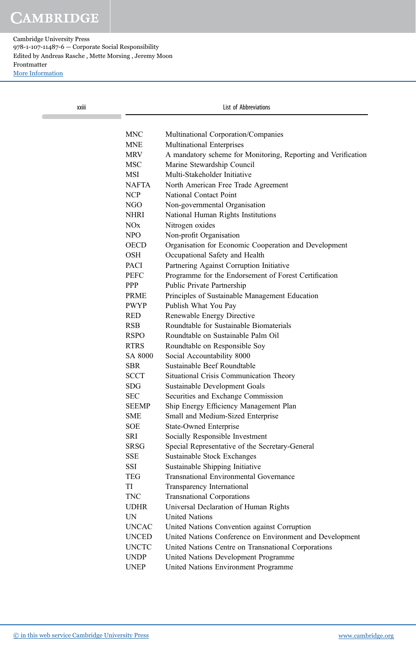| xxiii |              | List of Abbreviations                                         |  |  |
|-------|--------------|---------------------------------------------------------------|--|--|
|       | <b>MNC</b>   | Multinational Corporation/Companies                           |  |  |
|       | <b>MNE</b>   | <b>Multinational Enterprises</b>                              |  |  |
|       | <b>MRV</b>   | A mandatory scheme for Monitoring, Reporting and Verification |  |  |
|       | <b>MSC</b>   | Marine Stewardship Council                                    |  |  |
|       | <b>MSI</b>   | Multi-Stakeholder Initiative                                  |  |  |
|       | <b>NAFTA</b> | North American Free Trade Agreement                           |  |  |
|       | <b>NCP</b>   | National Contact Point                                        |  |  |
|       | NGO          | Non-governmental Organisation                                 |  |  |
|       | <b>NHRI</b>  | National Human Rights Institutions                            |  |  |
|       | NOx          | Nitrogen oxides                                               |  |  |
|       | <b>NPO</b>   | Non-profit Organisation                                       |  |  |
|       | <b>OECD</b>  | Organisation for Economic Cooperation and Development         |  |  |
|       | <b>OSH</b>   | Occupational Safety and Health                                |  |  |
|       | <b>PACI</b>  | Partnering Against Corruption Initiative                      |  |  |
|       | <b>PEFC</b>  | Programme for the Endorsement of Forest Certification         |  |  |
|       | <b>PPP</b>   | Public Private Partnership                                    |  |  |
|       | <b>PRME</b>  | Principles of Sustainable Management Education                |  |  |
|       | <b>PWYP</b>  | Publish What You Pay                                          |  |  |
|       | <b>RED</b>   | Renewable Energy Directive                                    |  |  |
|       | <b>RSB</b>   | Roundtable for Sustainable Biomaterials                       |  |  |
|       | <b>RSPO</b>  | Roundtable on Sustainable Palm Oil                            |  |  |
|       | <b>RTRS</b>  | Roundtable on Responsible Soy                                 |  |  |
|       | SA 8000      | Social Accountability 8000                                    |  |  |
|       | <b>SBR</b>   | Sustainable Beef Roundtable                                   |  |  |
|       | <b>SCCT</b>  | Situational Crisis Communication Theory                       |  |  |
|       | <b>SDG</b>   | Sustainable Development Goals                                 |  |  |
|       | <b>SEC</b>   | Securities and Exchange Commission                            |  |  |
|       | <b>SEEMP</b> | Ship Energy Efficiency Management Plan                        |  |  |
|       | <b>SME</b>   | Small and Medium-Sized Enterprise                             |  |  |
|       | <b>SOE</b>   | <b>State-Owned Enterprise</b>                                 |  |  |
|       | SRI          | Socially Responsible Investment                               |  |  |
|       | <b>SRSG</b>  | Special Representative of the Secretary-General               |  |  |
|       | <b>SSE</b>   | Sustainable Stock Exchanges                                   |  |  |
|       | SSI          | Sustainable Shipping Initiative                               |  |  |
|       | <b>TEG</b>   | <b>Transnational Environmental Governance</b>                 |  |  |
|       | TI           | Transparency International                                    |  |  |
|       | <b>TNC</b>   | <b>Transnational Corporations</b>                             |  |  |
|       | <b>UDHR</b>  | Universal Declaration of Human Rights                         |  |  |
|       | UN           | <b>United Nations</b>                                         |  |  |
|       | <b>UNCAC</b> | United Nations Convention against Corruption                  |  |  |
|       | <b>UNCED</b> | United Nations Conference on Environment and Development      |  |  |
|       | <b>UNCTC</b> | United Nations Centre on Transnational Corporations           |  |  |
|       | <b>UNDP</b>  | United Nations Development Programme                          |  |  |
|       | <b>UNEP</b>  | United Nations Environment Programme                          |  |  |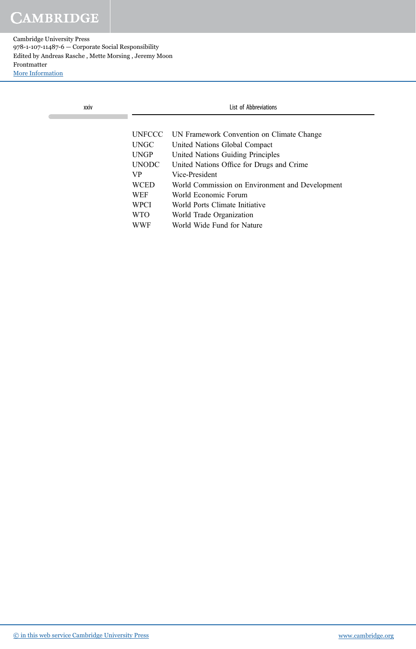| xxiv |               | List of Abbreviations                           |  |  |
|------|---------------|-------------------------------------------------|--|--|
|      |               |                                                 |  |  |
|      | <b>UNFCCC</b> | UN Framework Convention on Climate Change       |  |  |
|      | <b>UNGC</b>   | United Nations Global Compact                   |  |  |
|      | <b>UNGP</b>   | United Nations Guiding Principles               |  |  |
|      | <b>UNODC</b>  | United Nations Office for Drugs and Crime       |  |  |
|      | VP.           | Vice-President                                  |  |  |
|      | <b>WCED</b>   | World Commission on Environment and Development |  |  |
|      | <b>WEF</b>    | World Economic Forum                            |  |  |
|      | <b>WPCI</b>   | World Ports Climate Initiative                  |  |  |
|      | <b>WTO</b>    | World Trade Organization                        |  |  |
|      | WWF           | World Wide Fund for Nature                      |  |  |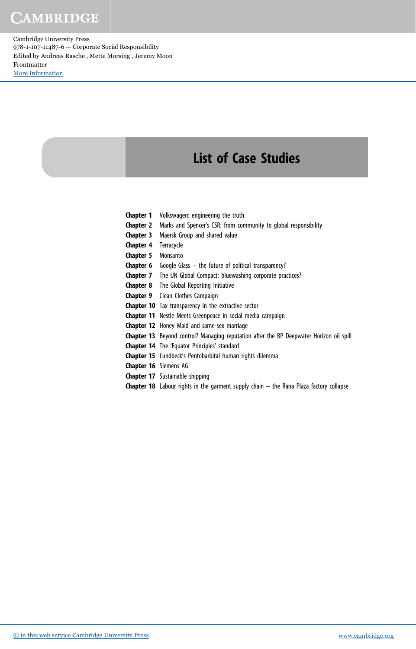Cambridge University Press 978-1-107-11487-6 — Corporate Social Responsibility Edited by Andreas Rasche , Mette Morsing , Jeremy Moon Frontmatter [More Information](www.cambridge.org/9781107114876)

## List of Case Studies

- **Chapter 1** Volkswagen: engineering the truth
- Chapter 2 Marks and Spencer's CSR: from community to global responsibility
- Chapter 3 Maersk Group and shared value
- Chapter 4 Terracycle
- Chapter 5 Monsanto
- **Chapter 6** Google Glass  $-$  the future of political transparency?
- Chapter 7 The UN Global Compact: bluewashing corporate practices?
- Chapter 8 The Global Reporting Initiative
- Chapter 9 Clean Clothes Campaign
- Chapter 10 Tax transparency in the extractive sector
- Chapter 11 Nestlé Meets Greenpeace in social media campaign
- Chapter 12 Honey Maid and same-sex marriage
- Chapter 13 Beyond control? Managing reputation after the BP Deepwater Horizon oil spill
- Chapter 14 The 'Equator Principles' standard
- Chapter 15 Lundbeck's Pentobarbital human rights dilemma
- Chapter 16 Siemens AG
- Chapter 17 Sustainable shipping
- **Chapter 18** Labour rights in the garment supply chain  $-$  the Rana Plaza factory collapse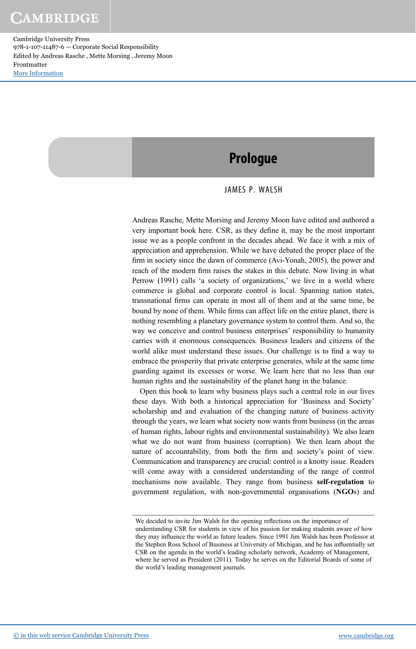### Prologue

#### JAMES P. WALSH

Andreas Rasche, Mette Morsing and Jeremy Moon have edited and authored a very important book here. CSR, as they define it, may be the most important issue we as a people confront in the decades ahead. We face it with a mix of appreciation and apprehension. While we have debated the proper place of the firm in society since the dawn of commerce (Avi-Yonah, 2005), the power and reach of the modern firm raises the stakes in this debate. Now living in what Perrow (1991) calls 'a society of organizations,' we live in a world where commerce is global and corporate control is local. Spanning nation states, transnational firms can operate in most all of them and at the same time, be bound by none of them. While firms can affect life on the entire planet, there is nothing resembling a planetary governance system to control them. And so, the way we conceive and control business enterprises' responsibility to humanity carries with it enormous consequences. Business leaders and citizens of the world alike must understand these issues. Our challenge is to find a way to embrace the prosperity that private enterprise generates, while at the same time guarding against its excesses or worse. We learn here that no less than our human rights and the sustainability of the planet hang in the balance.

Open this book to learn why business plays such a central role in our lives these days. With both a historical appreciation for 'Business and Society' scholarship and and evaluation of the changing nature of business activity through the years, we learn what society now wants from business (in the areas of human rights, labour rights and environmental sustainability). We also learn what we do not want from business (corruption). We then learn about the nature of accountability, from both the firm and society's point of view. Communication and transparency are crucial: control is a knotty issue. Readers will come away with a considered understanding of the range of control mechanisms now available. They range from business self-regulation to government regulation, with non-governmental organisations (NGOs) and

We decided to invite Jim Walsh for the opening reflections on the importance of understanding CSR for students in view of his passion for making students aware of how they may influence the world as future leaders. Since 1991 Jim Walsh has been Professor at the Stephen Ross School of Business at University of Michigan, and he has influentially set CSR on the agenda in the world's leading scholarly network, Academy of Management, where he served as President (2011). Today he serves on the Editorial Boards of some of the world's leading management journals.